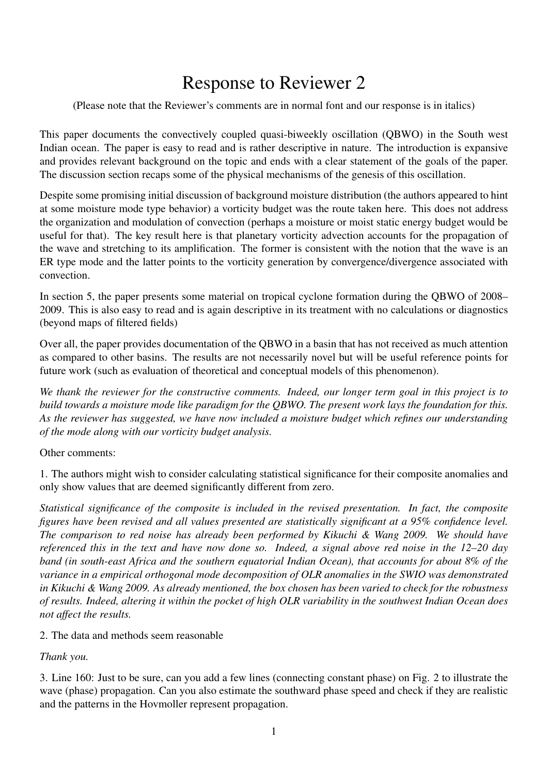## Response to Reviewer 2

(Please note that the Reviewer's comments are in normal font and our response is in italics)

This paper documents the convectively coupled quasi-biweekly oscillation (QBWO) in the South west Indian ocean. The paper is easy to read and is rather descriptive in nature. The introduction is expansive and provides relevant background on the topic and ends with a clear statement of the goals of the paper. The discussion section recaps some of the physical mechanisms of the genesis of this oscillation.

Despite some promising initial discussion of background moisture distribution (the authors appeared to hint at some moisture mode type behavior) a vorticity budget was the route taken here. This does not address the organization and modulation of convection (perhaps a moisture or moist static energy budget would be useful for that). The key result here is that planetary vorticity advection accounts for the propagation of the wave and stretching to its amplification. The former is consistent with the notion that the wave is an ER type mode and the latter points to the vorticity generation by convergence/divergence associated with convection.

In section 5, the paper presents some material on tropical cyclone formation during the QBWO of 2008– 2009. This is also easy to read and is again descriptive in its treatment with no calculations or diagnostics (beyond maps of filtered fields)

Over all, the paper provides documentation of the QBWO in a basin that has not received as much attention as compared to other basins. The results are not necessarily novel but will be useful reference points for future work (such as evaluation of theoretical and conceptual models of this phenomenon).

*We thank the reviewer for the constructive comments. Indeed, our longer term goal in this project is to build towards a moisture mode like paradigm for the QBWO. The present work lays the foundation for this. As the reviewer has suggested, we have now included a moisture budget which refines our understanding of the mode along with our vorticity budget analysis.*

## Other comments:

1. The authors might wish to consider calculating statistical significance for their composite anomalies and only show values that are deemed significantly different from zero.

*Statistical significance of the composite is included in the revised presentation. In fact, the composite figures have been revised and all values presented are statistically significant at a 95% confidence level. The comparison to red noise has already been performed by Kikuchi & Wang 2009. We should have referenced this in the text and have now done so. Indeed, a signal above red noise in the 12–20 day band (in south-east Africa and the southern equatorial Indian Ocean), that accounts for about 8% of the variance in a empirical orthogonal mode decomposition of OLR anomalies in the SWIO was demonstrated in Kikuchi & Wang 2009. As already mentioned, the box chosen has been varied to check for the robustness of results. Indeed, altering it within the pocket of high OLR variability in the southwest Indian Ocean does not affect the results.*

## 2. The data and methods seem reasonable

## *Thank you.*

3. Line 160: Just to be sure, can you add a few lines (connecting constant phase) on Fig. 2 to illustrate the wave (phase) propagation. Can you also estimate the southward phase speed and check if they are realistic and the patterns in the Hovmoller represent propagation.